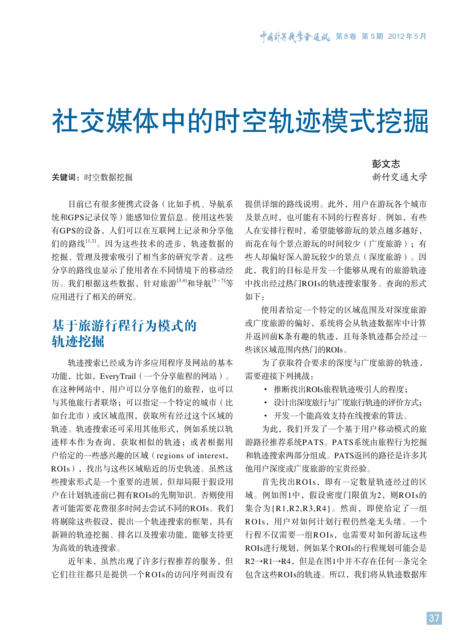# 社交媒体中的时空轨迹模式挖掘

关键词: 时空数据挖掘

目前已有很多便携式设备(比如手机、导航系 统和GPS记录仪等)能感知位置信息。使用这些装 有GPS的设备,人们可以在互联网上记录和分享他 们的路线[1,2]。因为这些技术的进步, 轨迹数据的 挖掘、管理及搜索吸引了相当多的研究学者。这些 分享的路线也显示了使用者在不同情境下的移动经 历。我们根据这些数据,针对旅游<sup>[3,4]</sup>和导航<sup>[5~7]</sup>等 应用进行了相关的研究。

## 基于旅游行程行为模式的 轨迹挖掘

轨迹搜索已经成为许多应用程序及网站的基本 功能,比如,EveryTrail(一个分享旅程的网站)。 在这种网站中,用户可以分享他们的旅程,也可以 与其他旅行者联络;可以指定一个特定的城市(比 如台北市)或区域范围,获取所有经过这个区域的 轨迹。轨迹搜索还可采用其他形式,例如系统以轨 迹样本作为查询,获取相似的轨迹;或者根据用 户给定的一些感兴趣的区域(regions of interest, ROIs),找出与这些区域贴近的历史轨迹。虽然这 些搜索形式是一个重要的进展,但却局限于假设用 户在计划轨迹前已拥有ROIs的先期知识。否则使用 者可能需要花费很多时间去尝试不同的ROIs。我们 将剔除这些假设,提出一个轨迹搜索的框架,具有 新颖的轨迹挖掘、排名以及搜索功能,能够支持更 为高效的轨迹搜索。

近年来,虽然出现了许多行程推荐的服务,但 它们往往都只是提供一个ROIs的访问序列而没有 彭文志

新竹交通大学

提供详细的路线说明。此外,用户在游玩各个城市 及景点时,也可能有不同的行程喜好。例如,有些 人在安排行程时,希望能够游玩的景点越多越好, 而花在每个景点游玩的时间较少(广度旅游);有 些人却偏好深入游玩较少的景点(深度旅游)。因 此,我们的目标是开发一个能够从现有的旅游轨迹 中找出经过热门ROIs的轨迹搜索服务。查询的形式 如下:

使用者给定一个特定的区域范围及对深度旅游 或广度旅游的偏好,系统将会从轨迹数据库中计算 并返回前K条有趣的轨迹,且每条轨迹都会经过一 些该区域范围内热门的ROIs。

为了获取符合要求的深度与广度旅游的轨迹, 需要迎接下列挑战:

· 推断找出ROIs旅程轨迹吸引人的程度;

· 设计出深度旅行与广度旅行轨迹的评价方式;

· 开发一个能高效支持在线搜索的算法。

为此,我们开发了一个基于用户移动模式的旅 游路径推荐系统PATS。PATS系统由旅程行为挖掘 和轨迹搜索两部分组成。PATS返回的路径是许多其 他用户深度或广度旅游的宝贵经验。

首先找出ROIs,即有一定数量轨迹经过的区 域。例如图1中,假设密度门限值为2,则ROIs的 集合为{R1,R2,R3,R4}。然而, 即使给定了一组 ROIs,用户对如何计划行程仍然毫无头绪。一个 行程不仅需要一组ROIs,也需要对如何游玩这些 ROIs进行规划,例如某个ROIs的行程规划可能会是 R2→R1→R4,但是在图1中并不存在任何一条完全 包含这些ROIs的轨迹。所以,我们将从轨迹数据库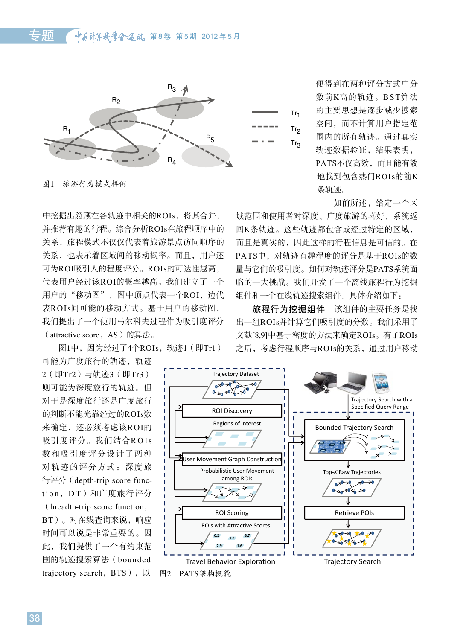

图1 旅游行为模式样例

中挖掘出隐藏在各轨迹中相关的ROIs,将其合并, 并推荐有趣的行程。综合分析ROIs在旅程顺序中的 回K条轨迹。这些轨迹都包含或经过特定的区 关系,旅程模式不仅仅代表着旅游景点访问顺序的 而且是真实的,因此这样的行程信息是可信的 关系, 也表示着区域间的移动概率。而且, 用户还 PATS中, 对轨迹有趣程度的评分是基于ROI 可为ROI吸引人的程度评分。ROIs的可达性越高, 量与它们的吸引度。如何对轨迹评分是PATS系 代表用户经过该ROI的概率越高。我们建立了一个 临的一大挑战。我们开发了一个离线旅程行为挖掘 用户的"移动图",图中顶点代表一个ROI,边代 组件和一个在线轨迹搜索组件。具体介绍如下: 表ROIs间可能的移动方式。基于用户的移动图, 旅程行为挖掘组件 该组件的主要任务 我们提出了一个使用马尔科夫过程作为吸引度评分 出一组ROIs并计算它们吸引度的分数。我们采J (attractive score,AS)的算法。 中挖掘出隐藏在各轨迹中相关的ROIs,将其合并, 域范围和使用者对深度、广度旅游的喜好,系统返

图1中,因为经过了4个ROIs,轨迹1(即Tr1) 可能为广度旅行的轨迹,轨迹<br>- < === = > + + + >>> < === = > 图1中,因为经过了4个ROIs,轨迹1(即Tr1) 之后,考虑行程顺序与ROIs的关系,通过用户移动

则可能为深度旅行的轨迹。但 对于是深度旅行还是广度旅行 的判断不能光靠经过的ROIs数



如前所述,给定一个区

回K条轨迹。这些轨迹都包含或经过特定的区域, 而且是真实的,因此这样的行程信息是可信的。在 PATS中,对轨迹有趣程度的评分是基于ROIs的数 量与它们的吸引度。如何对轨迹评分是PATS系统面 临的一大挑战。我们开发了一个离线旅程行为挖掘 组件和一个在线轨迹搜索组件。具体介绍如下:

旅程行为挖掘组件 该组件的主要任务是找 出一组ROIs并计算它们吸引度的分数。我们采用了 文献[8,9]中基于密度的方法来确定ROIs。有了ROIs

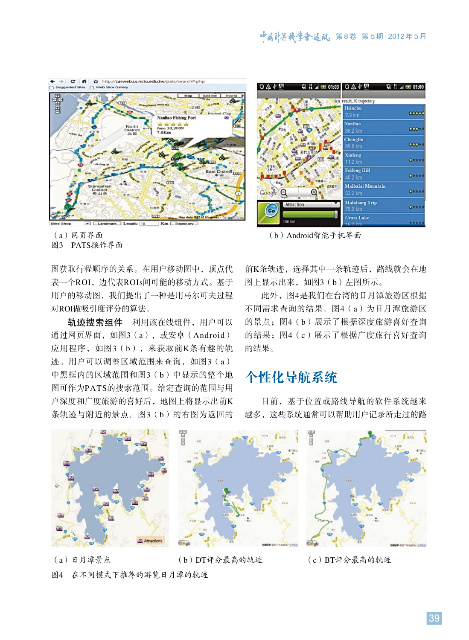



(a)网页界面 (b)Android智能手机界面

图3 PATS操作界面

图获取行程顺序的关系。在用户移动图中,顶点代 表一个ROI, 边代表ROIs间可能的移动方式。基于 用户的移动图,我们提出了一种是用马尔可夫过程 对ROI做吸引度评分的算法。

轨迹搜索组件 利用该在线组件,用户可以 通过网页界面,如图3(a),或安卓(Android) 应用程序,如图3(b),来获取前K条有趣的轨 迹。用户可以调整区域范围来查询, 如图3 (a) 中黑框内的区域范围和图3(b)中显示的整个地 图可作为PATS的搜索范围。给定查询的范围与用 户深度和广度旅游的喜好后,地图上将显示出前K 条轨迹与附近的景点。图3(b)的右图为返回的

前K条轨迹,选择其中一条轨迹后,路线就会在地 图上显示出来,如图3(b)左图所示。

此外,图4是我们在台湾的日月潭旅游区根据 不同需求查询的结果。图4(a)为日月潭旅游区 的景点: 图4 (b)展示了根据深度旅游喜好杳询 的结果;图4(c)展示了根据广度旅行喜好查询 的结果。

## 个性化导航系统

目前,基于位置或路线导航的软件系统越来 越多,这些系统通常可以帮助用户记录所走过的路



(a)日月潭景点 (b)DT评分最高的轨迹 (c)BT评分最高的轨迹 图4 在不同模式下推荐的游览日月潭的轨迹

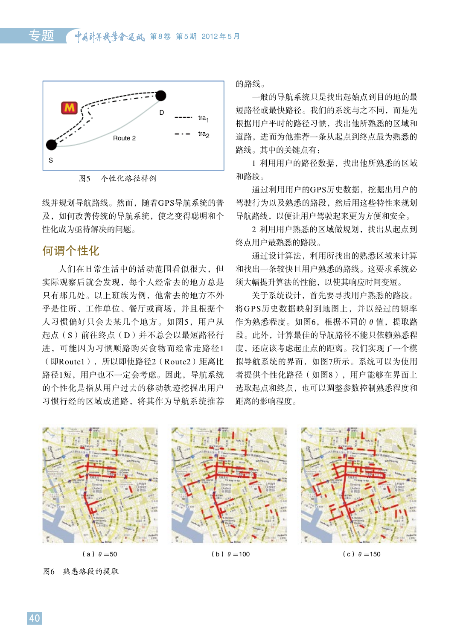

图5 个性化路径样例

线并规划导航路线。然而,随着GPS导航系统的普 及,如何改善传统的导航系统,使之变得聪明和个 性化成为亟待解决的问题。

#### 何谓个性化

人们在日常生活中的活动范围看似很大,但 实际观察后就会发现,每个人经常去的地方总是 只有那几处。以上班族为例,他常去的地方不外 乎是住所、工作单位、餐厅或商场,并且根据个 人习惯偏好只会去某几个地方。如图5,用户从 起点(S)前往终点(D)并不总会以最短路径行 进,可能因为习惯顺路购买食物而经常走路径1 (即Route1),所以即使路径2(Route2)距离比 路径1短,用户也不一定会考虑。因此,导航系统 的个性化是指从用户过去的移动轨迹挖掘出用户 习惯行经的区域或道路,将其作为导航系统推荐

的路线。

一般的导航系统只是找出起始点到目的地的最 短路径或最快路径。我们的系统与之不同,而是先 根据用户平时的路径习惯,找出他所熟悉的区域和 道路,进而为他推荐一条从起点到终点最为熟悉的 路线。其中的关键点有:

1 利用用户的路径数据,找出他所熟悉的区域 和路段。

通过利用用户的GPS历史数据,挖掘出用户的 驾驶行为以及熟悉的路段,然后用这些特性来规划 导航路线,以便让用户驾驶起来更为方便和安全。

2 利用用户熟悉的区域做规划,找出从起点到 终点用户最熟悉的路段。

通过设计算法,利用所找出的熟悉区域来计算 和找出一条较快且用户熟悉的路线。这要求系统必 须大幅提升算法的性能,以使其响应时间变短。

关于系统设计,首先要寻找用户熟悉的路段。 将GPS历史数据映射到地图上,并以经过的频率 作为熟悉程度。如图6,根据不同的θ值,提取路 段。此外,计算最佳的导航路径不能只依赖熟悉程 度,还应该考虑起止点的距离。我们实现了一个模 拟导航系统的界面,如图7所示。系统可以为使用 者提供个性化路径(如图8),用户能够在界面上 选取起点和终点,也可以调整参数控制熟悉程度和 距离的影响程度。



图6 熟悉路段的提取

(a)  $\theta = 50$  (b)  $\theta = 100$  (c)  $\theta = 150$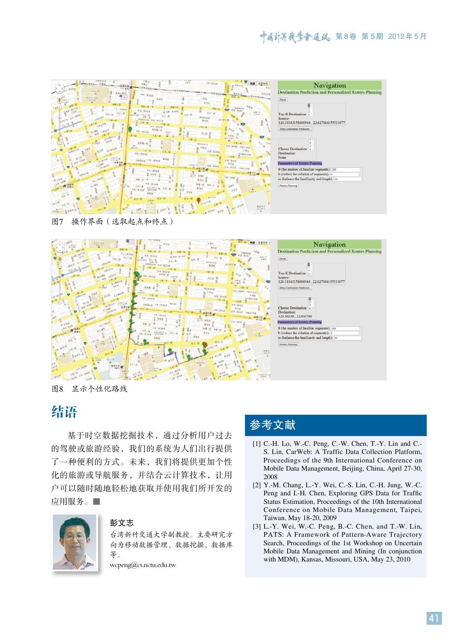| $=1112.0 - 121$                                                                                                                                                                                                                                                                                                                                                                                       | 27 Milled<br>any Arizon<br>地图 布里休克<br>- Bass - Jasse<br>■予測認証<br>di titro con                                                                                                                                                                                                                                                                                                                                                                                                                                                                                                                                                                                                                                                                                                                                                     |
|-------------------------------------------------------------------------------------------------------------------------------------------------------------------------------------------------------------------------------------------------------------------------------------------------------------------------------------------------------------------------------------------------------|-----------------------------------------------------------------------------------------------------------------------------------------------------------------------------------------------------------------------------------------------------------------------------------------------------------------------------------------------------------------------------------------------------------------------------------------------------------------------------------------------------------------------------------------------------------------------------------------------------------------------------------------------------------------------------------------------------------------------------------------------------------------------------------------------------------------------------------|
| WAL-RINE<br>三、其他自然<br>□ 実施欠期間<br>$\bullet$ .<br>334128<br>28+8 後<br>- 実現作業<br><b>College</b><br>● を検討し 。 以上                                                                                                                                                                                                                                                                                           | <b>Kami</b><br>$BA - B3458$<br>$9 - 148$<br>机旋山油<br>大港面<br>$-$ 648                                                                                                                                                                                                                                                                                                                                                                                                                                                                                                                                                                                                                                                                                                                                                                |
| <b>CASTO DE ANY</b><br>講座三路<br>$A = 1$<br><b>HALA KELA</b>                                                                                                                                                                                                                                                                                                                                            | $\begin{array}{c c} \hline \textbf{1} & \textbf{0} & \textbf{0} \\ \hline \textbf{1} & \textbf{1} & \textbf{0} \\ \hline \textbf{1} & \textbf{1} & \textbf{1} \\ \hline \end{array}$<br>Street House Milker<br><b>STATE OF BEAT</b><br>三里图画的山<br><b>B</b> Angle Board<br>$W = 212W$<br>$x = 10 - 10$<br>$-9898$<br>$min_{1000}$<br>湖利班                                                                                                                                                                                                                                                                                                                                                                                                                                                                                            |
| $\begin{picture}(130,10) \put(0,0){\line(1,0){100}} \put(10,0){\line(1,0){100}} \put(10,0){\line(1,0){100}} \put(10,0){\line(1,0){100}} \put(10,0){\line(1,0){100}} \put(10,0){\line(1,0){100}} \put(10,0){\line(1,0){100}} \put(10,0){\line(1,0){100}} \put(10,0){\line(1,0){100}} \put(10,0){\line(1,0){100}} \put(10,0){\line(1,0){100}}$<br><b>CREATIVE ASS</b><br>$H_{\text{max}} = \frac{1}{2}$ | 所有证<br>$m - s$<br>無丈下無性 第<br>一十型一丝<br><b>H</b> Company<br><b>WEN-A-A</b><br>一 土見一性                                                                                                                                                                                                                                                                                                                                                                                                                                                                                                                                                                                                                                                                                                                                                |
| CRAWN BRAS KIR KIRING<br><b>B</b> ARCH<br><b>B</b> paint distant<br><b>WA-SWB</b><br><b>OUTER OF BRAN</b>                                                                                                                                                                                                                                                                                             | <b>Rittingover</b><br>players.<br><b>B</b><br><b>KILLING HARING</b><br>anni An a<br>中原矿<br>ISB 2.8 steal<br>04-3306<br>图书画穿话器<br><b>ANNOUNCE</b><br>二八世界<br><b>RVB</b><br>$0.43319 - 0.21399$<br><b>KETAOU</b><br><b>HOME</b>                                                                                                                                                                                                                                                                                                                                                                                                                                                                                                                                                                                                     |
| AURUR AN<br>aznes anno<br>$-848$                                                                                                                                                                                                                                                                                                                                                                      | $\overline{X}_{\overline{B}} = \overline{X_{\overline{B}} + \overline{B}} + \overline{B} + \overline{B} + \overline{B} + \overline{B} + \overline{B} + \overline{B} + \overline{B}$<br>Kn: Nile<br>$\begin{array}{ c c c c c c } \hline \textbf{a} & \textbf{a} & \textbf{a} & \textbf{a} & \textbf{a} & \textbf{a} & \textbf{a} & \textbf{a} & \textbf{a} & \textbf{a} & \textbf{a} & \textbf{a} & \textbf{a} & \textbf{a} & \textbf{a} & \textbf{a} & \textbf{a} & \textbf{a} & \textbf{a} & \textbf{a} & \textbf{a} & \textbf{a} & \textbf{a} & \textbf{a} & \textbf{a} & \textbf{a} & \textbf{a} & \textbf{a} & \text$<br>$\frac{1}{2}$ $\frac{1}{2}$ $\frac{1}{2}$ $\frac{1}{2}$ $\frac{1}{2}$ $\frac{1}{2}$ $\frac{1}{2}$ $\frac{1}{2}$<br><b>CONTROLL</b><br><b>POLK</b><br>$\mathbf{r} \cdot \mathbf{r} \cdot \mathbf{r}$ |
| n=an<br>$K_{\text{Hau}}^{333}$<br><b>WATER</b>                                                                                                                                                                                                                                                                                                                                                        | H.O. Bloom<br><b>LY</b> homeone<br>$\frac{1}{1+2} \cdot \frac{1}{1+2} \cdot \frac{1}{1+2} \cdot \frac{1}{1+2} \cdot \frac{1}{1+2} \cdot \frac{1}{1+2} \cdot \frac{1}{1+2} \cdot \frac{1}{1+2} \cdot \frac{1}{1+2} \cdot \frac{1}{1+2} \cdot \frac{1}{1+2} \cdot \frac{1}{1+2} \cdot \frac{1}{1+2} \cdot \frac{1}{1+2} \cdot \frac{1}{1+2} \cdot \frac{1}{1+2} \cdot \frac{1}{1+2} \cdot \frac{1}{1+2} \cdot \frac{1}{1+2} \cdot \frac{1}{1+2} \cdot$<br>$AB = B$ $B = AB - B$<br>当社の理念を制<br>$\frac{1}{2}$ kee<br>所在一面1258<br>苦片号事業<br><b>The Company of the Company</b><br>$1.0$ m $-$<br>計画出<br>$n$ $g_5 - n$<br>主義者に                                                                                                                                                                                                            |
|                                                                                                                                                                                                                                                                                                                                                                                                       | And Life of Promised Area<br>高度市立<br>文化中心                                                                                                                                                                                                                                                                                                                                                                                                                                                                                                                                                                                                                                                                                                                                                                                         |

| Roset                                       |                                                                                                                                   |  |
|---------------------------------------------|-----------------------------------------------------------------------------------------------------------------------------------|--|
| Top-K Destination: 4<br>Source:             | 120.31043158000944, 22.627064155533077                                                                                            |  |
| Show Destination Prediction                 |                                                                                                                                   |  |
| Choose Destination:<br>Destination:<br>None | ż                                                                                                                                 |  |
|                                             | Parameters of Routes Planning                                                                                                     |  |
|                                             | 0 (the number of familiar segments): 200<br>b (reduce the relation of segments): 5<br>to (balance the familiarity and length): 10 |  |
| Routes Planning                             |                                                                                                                                   |  |

图7 操作界面(选取起点和终点)



图8 显示个性化路线

# 结语

基于时空数据挖掘技术,通过分析用户过去 的驾驶或旅游经验,我们的系统为人们出行提供 了一种便利的方式。未来,我们将提供更加个性 化的旅游或导航服务,并结合云计算技术,让用 户可以随时随地轻松地获取并使用我们所开发的 应用服务。■



#### 彭文志

台湾新竹交通大学副教授。主要研究方 向为移动数据管理、数据挖掘、数据库 等。

wcpeng@cs.nctu.edu.tw

### 参考文献

- [1] C.-H. Lo, W.-C. Peng, C.-W. Chen, T.-Y. Lin and C.-S. Lin, CarWeb: A Traffic Data Collection Platform, Proceedings of the 9th International Conference on Mobile Data Management, Beijing, China, April 27-30, 2008
- [2] Y.-M. Chang, L.-Y. Wei, C.-S. Lin, C.-H. Jung, W.-C. Peng and I.-H. Chen, Exploring GPS Data for Traffic Status Estimation, Proceedings of the 10th International Conference on Mobile Data Management, Taipei, Taiwan, May 18-20, 2009
- [3] L.-Y. Wei, W.-C. Peng, B.-C. Chen, and T.-W. Lin, PATS: A Framework of Pattern-Aware Trajectory Search, Proceedings of the 1st Workshop on Uncertain Mobile Data Management and Mining (In conjunction with MDM), Kansas, Missouri, USA, May 23, 2010